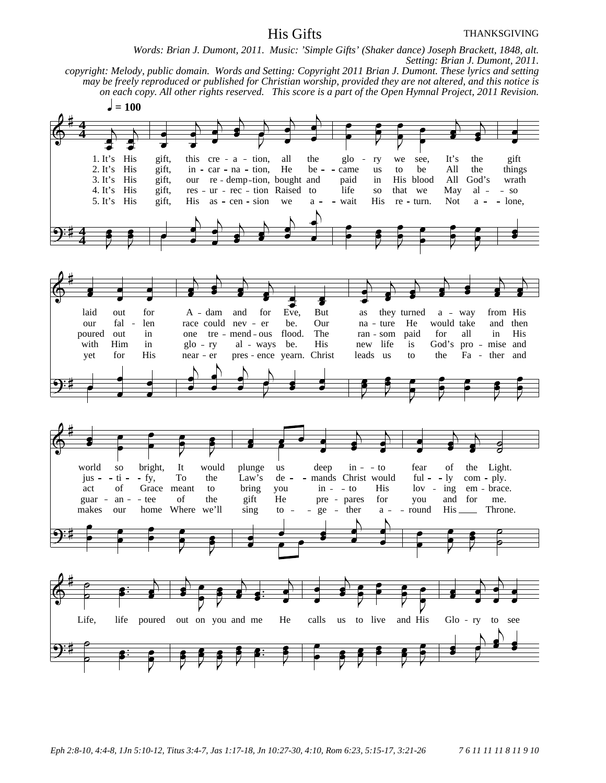## His Gifts

*Words: Brian J. Dumont, 2011. Music: 'Simple Gifts' (Shaker dance) Joseph Brackett, 1848, alt. Setting: Brian J. Dumont, 2011. copyright: Melody, public domain. Words and Setting: Copyright 2011 Brian J. Dumont. These lyrics and setting may be freely reproduced or published for Christian worship, provided they are not altered, and this notice is on each copy. All other rights reserved. This score is a part of the Open Hymnal Project, 2011 Revision.*  $= 100$ 1. It's His gift, this cre - a - tion, all the glo - ry we see, It's the gift 2. It's His gift, in - car - na - tion, He be - - came us to be All the thing gift, in - car - na - tion, He be - - came us to be All the things gift, our re - demp-tion, bought and paid in His blood All God's wrath 3. It's His gift, our re-demp-tion, bought and paid in His blood All God's wrath 4. It's His gift, res-ur-rec-tion Raised to life so that we May al--so 4. It's His gift, res - ur - rec - tion Raised to life so that we May al - - so 5. It's His gift, His as - cen - sion we  $a - -$  wait His re - turn. Not  $a - -$  long His as  $-\text{cen} - \text{sion}$  we  $a - - \text{wait}$  His re turn. Not  $a - \text{none}$ , **4 4 4 4** laid out for A - dam and for Eve, But as they turned a - way from His our fal - len race could nev - er be. Our na - ture He would take and then poured out in one tre mend ous flood. The ran som paid for all in His with Him in glo - ry al - ways be. His new life is God's pro - mise and yet for His near er pres ence yearn. Christ leads us to the Fa ther and world so bright, It would plunge us deep in --to fear of the Light. jus - - ti - - fy, To the Law's de - - mands Christ would ful - - ly com - ply.<br>act of Grace meant to bring you in - - to His lov - ing em - brace act of Grace meant to bring you in - - to His lov - ing em - brace. guar - an - tee of the gift He pre - pares for you and for me.<br>makes our home Where we'll sing to - - ge - ther a - - round His Thron makes our home Where we'll sing to  $-$  - ge - ther  $a -$  round His Throne. Life, life poured out on you and me He calls us to live and His Glo ry to see